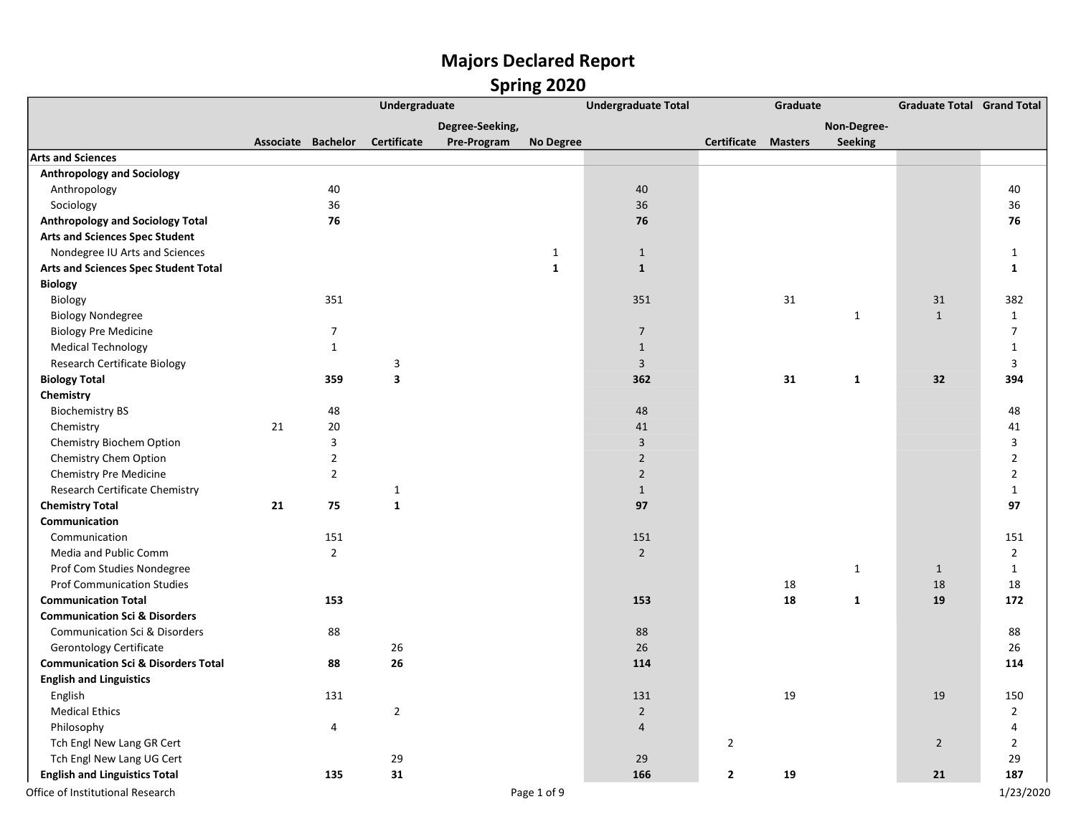|                                                |                    |                | Undergraduate           |                 |                  | <b>Undergraduate Total</b> |                    | Graduate       |                | <b>Graduate Total Grand Total</b> |                |
|------------------------------------------------|--------------------|----------------|-------------------------|-----------------|------------------|----------------------------|--------------------|----------------|----------------|-----------------------------------|----------------|
|                                                |                    |                |                         | Degree-Seeking, |                  |                            |                    |                | Non-Degree-    |                                   |                |
|                                                | Associate Bachelor |                | Certificate             | Pre-Program     | <b>No Degree</b> |                            | <b>Certificate</b> | <b>Masters</b> | <b>Seeking</b> |                                   |                |
| <b>Arts and Sciences</b>                       |                    |                |                         |                 |                  |                            |                    |                |                |                                   |                |
| <b>Anthropology and Sociology</b>              |                    |                |                         |                 |                  |                            |                    |                |                |                                   |                |
| Anthropology                                   |                    | 40             |                         |                 |                  | 40                         |                    |                |                |                                   | 40             |
| Sociology                                      |                    | 36             |                         |                 |                  | 36                         |                    |                |                |                                   | 36             |
| <b>Anthropology and Sociology Total</b>        |                    | 76             |                         |                 |                  | 76                         |                    |                |                |                                   | 76             |
| <b>Arts and Sciences Spec Student</b>          |                    |                |                         |                 |                  |                            |                    |                |                |                                   |                |
| Nondegree IU Arts and Sciences                 |                    |                |                         |                 | $\mathbf{1}$     | $\mathbf{1}$               |                    |                |                |                                   | $\mathbf{1}$   |
| Arts and Sciences Spec Student Total           |                    |                |                         |                 | $\mathbf{1}$     | $\mathbf{1}$               |                    |                |                |                                   | $\mathbf{1}$   |
| Biology                                        |                    |                |                         |                 |                  |                            |                    |                |                |                                   |                |
| Biology                                        |                    | 351            |                         |                 |                  | 351                        |                    | 31             |                | 31                                | 382            |
| <b>Biology Nondegree</b>                       |                    |                |                         |                 |                  |                            |                    |                | $\mathbf{1}$   | $\mathbf{1}$                      | 1              |
| <b>Biology Pre Medicine</b>                    |                    | $\overline{7}$ |                         |                 |                  | $\overline{7}$             |                    |                |                |                                   | $\overline{7}$ |
| <b>Medical Technology</b>                      |                    | $\mathbf{1}$   |                         |                 |                  | $\mathbf{1}$               |                    |                |                |                                   | $\mathbf{1}$   |
| <b>Research Certificate Biology</b>            |                    |                | 3                       |                 |                  | $\overline{3}$             |                    |                |                |                                   | 3              |
| <b>Biology Total</b>                           |                    | 359            | $\overline{\mathbf{3}}$ |                 |                  | 362                        |                    | 31             | $\mathbf{1}$   | 32                                | 394            |
| Chemistry                                      |                    |                |                         |                 |                  |                            |                    |                |                |                                   |                |
| <b>Biochemistry BS</b>                         |                    | 48             |                         |                 |                  | 48                         |                    |                |                |                                   | 48             |
| Chemistry                                      | 21                 | 20             |                         |                 |                  | 41                         |                    |                |                |                                   | 41             |
| Chemistry Biochem Option                       |                    | 3              |                         |                 |                  | $\overline{3}$             |                    |                |                |                                   | 3              |
| Chemistry Chem Option                          |                    | $\overline{2}$ |                         |                 |                  | $\overline{2}$             |                    |                |                |                                   | $\overline{2}$ |
| Chemistry Pre Medicine                         |                    | $\overline{2}$ |                         |                 |                  | $\overline{2}$             |                    |                |                |                                   | $\overline{2}$ |
| Research Certificate Chemistry                 |                    |                | $\mathbf 1$             |                 |                  | $\mathbf{1}$               |                    |                |                |                                   | $\mathbf{1}$   |
| <b>Chemistry Total</b>                         | 21                 | 75             | $\mathbf{1}$            |                 |                  | 97                         |                    |                |                |                                   | 97             |
| Communication                                  |                    |                |                         |                 |                  |                            |                    |                |                |                                   |                |
| Communication                                  |                    | 151            |                         |                 |                  | 151                        |                    |                |                |                                   | 151            |
| Media and Public Comm                          |                    | $\overline{2}$ |                         |                 |                  | $\overline{2}$             |                    |                |                |                                   | $\overline{2}$ |
| Prof Com Studies Nondegree                     |                    |                |                         |                 |                  |                            |                    |                | $\mathbf{1}$   | $\mathbf{1}$                      | $\mathbf{1}$   |
| <b>Prof Communication Studies</b>              |                    |                |                         |                 |                  |                            |                    | 18             |                | 18                                | 18             |
| <b>Communication Total</b>                     |                    | 153            |                         |                 |                  | 153                        |                    | 18             | $\mathbf{1}$   | 19                                | 172            |
| <b>Communication Sci &amp; Disorders</b>       |                    |                |                         |                 |                  |                            |                    |                |                |                                   |                |
| Communication Sci & Disorders                  |                    | 88             |                         |                 |                  | 88                         |                    |                |                |                                   | 88             |
| Gerontology Certificate                        |                    |                | 26                      |                 |                  | 26                         |                    |                |                |                                   | 26             |
| <b>Communication Sci &amp; Disorders Total</b> |                    | 88             | 26                      |                 |                  | 114                        |                    |                |                |                                   | 114            |
| <b>English and Linguistics</b>                 |                    |                |                         |                 |                  |                            |                    |                |                |                                   |                |
| English                                        |                    | 131            |                         |                 |                  | 131                        |                    | 19             |                | 19                                | 150            |
| <b>Medical Ethics</b>                          |                    |                | $\overline{2}$          |                 |                  | $\overline{2}$             |                    |                |                |                                   | $\overline{2}$ |
| Philosophy                                     |                    | 4              |                         |                 |                  | $\overline{4}$             |                    |                |                |                                   | 4              |
| Tch Engl New Lang GR Cert                      |                    |                |                         |                 |                  |                            | $\overline{2}$     |                |                | $\overline{2}$                    | $\overline{2}$ |
| Tch Engl New Lang UG Cert                      |                    |                | 29                      |                 |                  | 29                         |                    |                |                |                                   | 29             |
| <b>English and Linguistics Total</b>           |                    | 135            | 31                      |                 |                  | 166                        | $\overline{2}$     | 19             |                | 21                                | 187            |
| Office of Institutional Research               |                    |                |                         |                 | Page 1 of 9      |                            |                    |                |                |                                   | 1/23/2020      |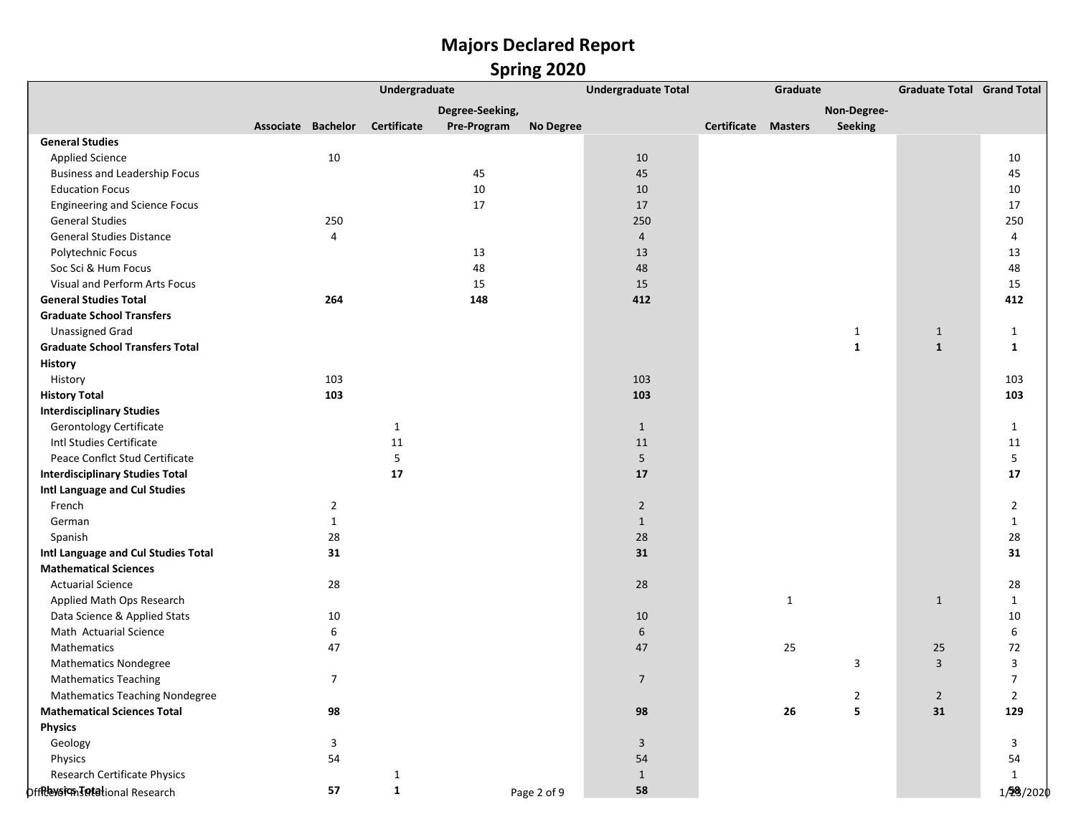|                                        |                    |                | Undergraduate |                 |                  | <b>Undergraduate Total</b> |                            | Graduate     |                | <b>Graduate Total Grand Total</b> |                |
|----------------------------------------|--------------------|----------------|---------------|-----------------|------------------|----------------------------|----------------------------|--------------|----------------|-----------------------------------|----------------|
|                                        |                    |                |               | Degree-Seeking, |                  |                            |                            |              | Non-Degree-    |                                   |                |
|                                        | Associate Bachelor |                | Certificate   | Pre-Program     | <b>No Degree</b> |                            | <b>Certificate Masters</b> |              | <b>Seeking</b> |                                   |                |
| <b>General Studies</b>                 |                    |                |               |                 |                  |                            |                            |              |                |                                   |                |
| <b>Applied Science</b>                 |                    | $10\,$         |               |                 |                  | 10                         |                            |              |                |                                   | 10             |
| <b>Business and Leadership Focus</b>   |                    |                |               | 45              |                  | 45                         |                            |              |                |                                   | 45             |
| <b>Education Focus</b>                 |                    |                |               | 10              |                  | 10                         |                            |              |                |                                   | 10             |
| <b>Engineering and Science Focus</b>   |                    |                |               | 17              |                  | 17                         |                            |              |                |                                   | 17             |
| <b>General Studies</b>                 |                    | 250            |               |                 |                  | 250                        |                            |              |                |                                   | 250            |
| <b>General Studies Distance</b>        |                    | 4              |               |                 |                  | $\overline{4}$             |                            |              |                |                                   | 4              |
| Polytechnic Focus                      |                    |                |               | 13              |                  | 13                         |                            |              |                |                                   | 13             |
| Soc Sci & Hum Focus                    |                    |                |               | 48              |                  | 48                         |                            |              |                |                                   | 48             |
| Visual and Perform Arts Focus          |                    |                |               | 15              |                  | 15                         |                            |              |                |                                   | 15             |
| <b>General Studies Total</b>           |                    | 264            |               | 148             |                  | 412                        |                            |              |                |                                   | 412            |
| <b>Graduate School Transfers</b>       |                    |                |               |                 |                  |                            |                            |              |                |                                   |                |
| <b>Unassigned Grad</b>                 |                    |                |               |                 |                  |                            |                            |              | $\mathbf{1}$   | $\mathbf{1}$                      | $\mathbf{1}$   |
| <b>Graduate School Transfers Total</b> |                    |                |               |                 |                  |                            |                            |              | $\mathbf{1}$   | $\mathbf{1}$                      | 1              |
| <b>History</b>                         |                    |                |               |                 |                  |                            |                            |              |                |                                   |                |
| History                                |                    | 103            |               |                 |                  | 103                        |                            |              |                |                                   | 103            |
| <b>History Total</b>                   |                    | 103            |               |                 |                  | 103                        |                            |              |                |                                   | 103            |
| <b>Interdisciplinary Studies</b>       |                    |                |               |                 |                  |                            |                            |              |                |                                   |                |
| <b>Gerontology Certificate</b>         |                    |                | $\mathbf{1}$  |                 |                  | $\mathbf{1}$               |                            |              |                |                                   | $\mathbf{1}$   |
| Intl Studies Certificate               |                    |                | 11            |                 |                  | 11                         |                            |              |                |                                   | 11             |
| Peace Conflct Stud Certificate         |                    |                | 5             |                 |                  | 5                          |                            |              |                |                                   | 5              |
| <b>Interdisciplinary Studies Total</b> |                    |                | 17            |                 |                  | 17                         |                            |              |                |                                   | 17             |
| Intl Language and Cul Studies          |                    |                |               |                 |                  |                            |                            |              |                |                                   |                |
| French                                 |                    | $\overline{2}$ |               |                 |                  | $\overline{2}$             |                            |              |                |                                   | $\overline{2}$ |
| German                                 |                    | $\mathbf{1}$   |               |                 |                  | $\mathbf{1}$               |                            |              |                |                                   | $\mathbf{1}$   |
| Spanish                                |                    | 28             |               |                 |                  | 28                         |                            |              |                |                                   | 28             |
| Intl Language and Cul Studies Total    |                    | 31             |               |                 |                  | 31                         |                            |              |                |                                   | 31             |
| <b>Mathematical Sciences</b>           |                    |                |               |                 |                  |                            |                            |              |                |                                   |                |
| <b>Actuarial Science</b>               |                    | 28             |               |                 |                  | 28                         |                            |              |                |                                   | 28             |
| Applied Math Ops Research              |                    |                |               |                 |                  |                            |                            | $\mathbf{1}$ |                | $\mathbf{1}$                      | $\mathbf{1}$   |
| Data Science & Applied Stats           |                    | $10\,$         |               |                 |                  | 10                         |                            |              |                |                                   | 10             |
| Math Actuarial Science                 |                    | 6              |               |                 |                  | 6                          |                            |              |                |                                   | 6              |
| Mathematics                            |                    | 47             |               |                 |                  | 47                         |                            | 25           |                | 25                                | $72\,$         |
| <b>Mathematics Nondegree</b>           |                    |                |               |                 |                  |                            |                            |              | 3              | $\overline{3}$                    | 3              |
| <b>Mathematics Teaching</b>            |                    | $\overline{7}$ |               |                 |                  | $\overline{7}$             |                            |              |                |                                   | $\overline{7}$ |
| <b>Mathematics Teaching Nondegree</b>  |                    |                |               |                 |                  |                            |                            |              | 2              | $\overline{2}$                    | $\overline{2}$ |
| <b>Mathematical Sciences Total</b>     |                    | 98             |               |                 |                  | 98                         |                            | 26           | 5              | 31                                | 129            |
| <b>Physics</b>                         |                    |                |               |                 |                  |                            |                            |              |                |                                   |                |
| Geology                                |                    | 3              |               |                 |                  | 3                          |                            |              |                |                                   | 3              |
| Physics                                |                    | 54             |               |                 |                  | 54                         |                            |              |                |                                   | 54             |
| Research Certificate Physics           |                    |                | $\mathbf{1}$  |                 |                  | $\mathbf{1}$               |                            |              |                |                                   | $\mathbf{1}$   |
| offRevsign Totational Research         |                    | 57             | $\mathbf{1}$  |                 | Page 2 of 9      | 58                         |                            |              |                |                                   | 1/28/2020      |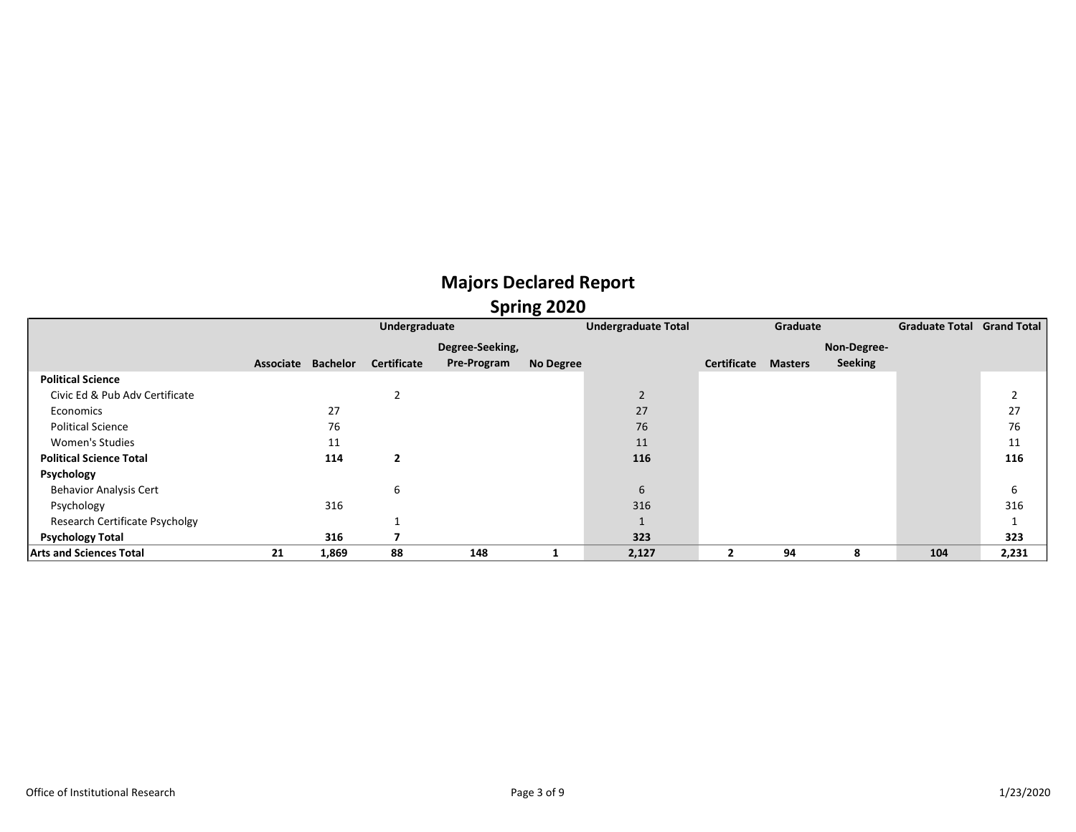|                                |           |                 | Undergraduate           |                 |           | <b>Undergraduate Total</b> |                         | Graduate       |             | Graduate Total Grand Total |       |
|--------------------------------|-----------|-----------------|-------------------------|-----------------|-----------|----------------------------|-------------------------|----------------|-------------|----------------------------|-------|
|                                |           |                 |                         | Degree-Seeking, |           |                            |                         |                | Non-Degree- |                            |       |
|                                | Associate | <b>Bachelor</b> | <b>Certificate</b>      | Pre-Program     | No Degree |                            | Certificate             | <b>Masters</b> | Seeking     |                            |       |
| <b>Political Science</b>       |           |                 |                         |                 |           |                            |                         |                |             |                            |       |
| Civic Ed & Pub Adv Certificate |           |                 |                         |                 |           | $\overline{2}$             |                         |                |             |                            |       |
| Economics                      |           | 27              |                         |                 |           | 27                         |                         |                |             |                            | 27    |
| <b>Political Science</b>       |           | 76              |                         |                 |           | 76                         |                         |                |             |                            | 76    |
| <b>Women's Studies</b>         |           | 11              |                         |                 |           | 11                         |                         |                |             |                            | 11    |
| <b>Political Science Total</b> |           | 114             | $\overline{\mathbf{2}}$ |                 |           | 116                        |                         |                |             |                            | 116   |
| Psychology                     |           |                 |                         |                 |           |                            |                         |                |             |                            |       |
| <b>Behavior Analysis Cert</b>  |           |                 | 6                       |                 |           | 6                          |                         |                |             |                            | b     |
| Psychology                     |           | 316             |                         |                 |           | 316                        |                         |                |             |                            | 316   |
| Research Certificate Psycholgy |           |                 |                         |                 |           |                            |                         |                |             |                            |       |
| <b>Psychology Total</b>        |           | 316             |                         |                 |           | 323                        |                         |                |             |                            | 323   |
| <b>Arts and Sciences Total</b> | 21        | 1,869           | 88                      | 148             |           | 2,127                      | $\overline{\mathbf{2}}$ | 94             | 8           | 104                        | 2,231 |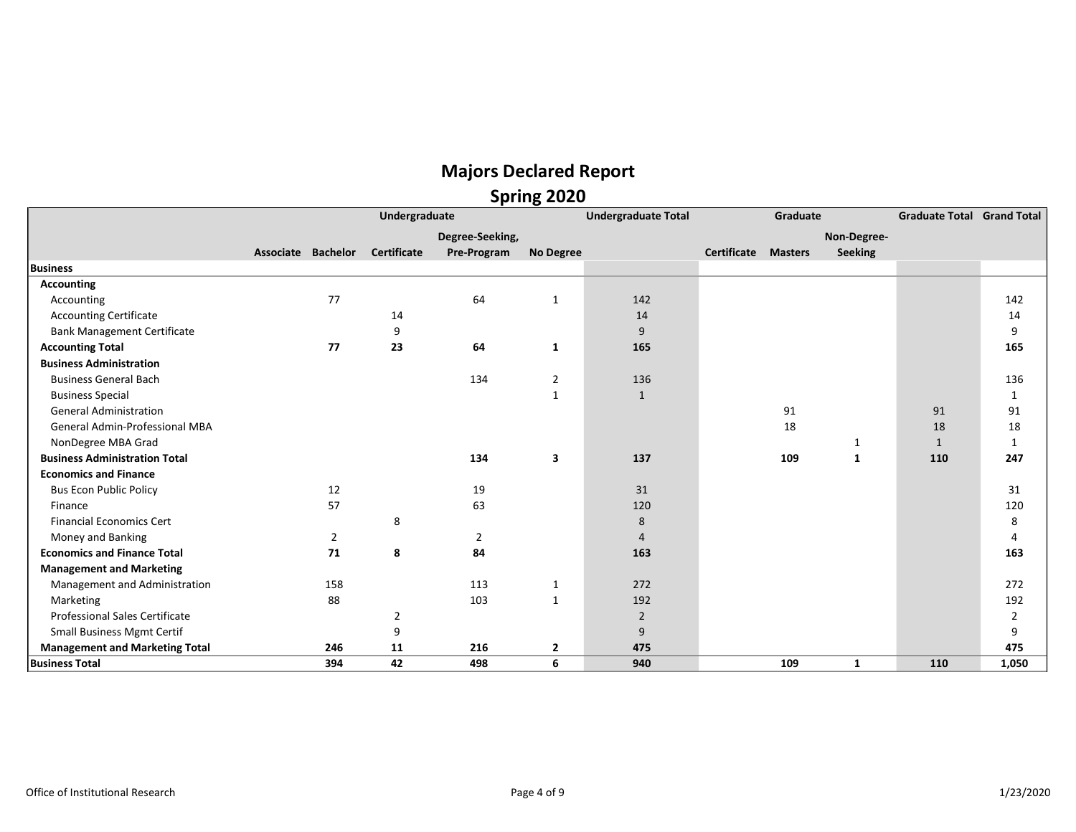|                                       |                    | Undergraduate      |                 |                  | <b>Undergraduate Total</b> |                            | Graduate |                | <b>Graduate Total Grand Total</b> |                |
|---------------------------------------|--------------------|--------------------|-----------------|------------------|----------------------------|----------------------------|----------|----------------|-----------------------------------|----------------|
|                                       |                    |                    | Degree-Seeking, |                  |                            |                            |          | Non-Degree-    |                                   |                |
|                                       | Associate Bachelor | <b>Certificate</b> | Pre-Program     | <b>No Degree</b> |                            | <b>Certificate Masters</b> |          | <b>Seeking</b> |                                   |                |
| <b>Business</b>                       |                    |                    |                 |                  |                            |                            |          |                |                                   |                |
| <b>Accounting</b>                     |                    |                    |                 |                  |                            |                            |          |                |                                   |                |
| Accounting                            | 77                 |                    | 64              | 1                | 142                        |                            |          |                |                                   | 142            |
| <b>Accounting Certificate</b>         |                    | 14                 |                 |                  | 14                         |                            |          |                |                                   | 14             |
| <b>Bank Management Certificate</b>    |                    | 9                  |                 |                  | 9                          |                            |          |                |                                   | 9              |
| <b>Accounting Total</b>               | 77                 | 23                 | 64              | 1                | 165                        |                            |          |                |                                   | 165            |
| <b>Business Administration</b>        |                    |                    |                 |                  |                            |                            |          |                |                                   |                |
| <b>Business General Bach</b>          |                    |                    | 134             | $\overline{2}$   | 136                        |                            |          |                |                                   | 136            |
| <b>Business Special</b>               |                    |                    |                 | 1                | $\mathbf{1}$               |                            |          |                |                                   | 1              |
| <b>General Administration</b>         |                    |                    |                 |                  |                            |                            | 91       |                | 91                                | 91             |
| <b>General Admin-Professional MBA</b> |                    |                    |                 |                  |                            |                            | 18       |                | 18                                | 18             |
| NonDegree MBA Grad                    |                    |                    |                 |                  |                            |                            |          | 1              | $\mathbf{1}$                      | $\mathbf{1}$   |
| <b>Business Administration Total</b>  |                    |                    | 134             | 3                | 137                        |                            | 109      | $\mathbf{1}$   | 110                               | 247            |
| <b>Economics and Finance</b>          |                    |                    |                 |                  |                            |                            |          |                |                                   |                |
| <b>Bus Econ Public Policy</b>         | 12                 |                    | 19              |                  | 31                         |                            |          |                |                                   | 31             |
| Finance                               | 57                 |                    | 63              |                  | 120                        |                            |          |                |                                   | 120            |
| <b>Financial Economics Cert</b>       |                    | 8                  |                 |                  | 8                          |                            |          |                |                                   | 8              |
| Money and Banking                     | 2                  |                    | 2               |                  | 4                          |                            |          |                |                                   | 4              |
| <b>Economics and Finance Total</b>    | 71                 | 8                  | 84              |                  | 163                        |                            |          |                |                                   | 163            |
| <b>Management and Marketing</b>       |                    |                    |                 |                  |                            |                            |          |                |                                   |                |
| Management and Administration         | 158                |                    | 113             | 1                | 272                        |                            |          |                |                                   | 272            |
| Marketing                             | 88                 |                    | 103             | $\mathbf{1}$     | 192                        |                            |          |                |                                   | 192            |
| <b>Professional Sales Certificate</b> |                    | $\overline{2}$     |                 |                  | $\overline{2}$             |                            |          |                |                                   | $\overline{2}$ |
| Small Business Mgmt Certif            |                    | 9                  |                 |                  | 9                          |                            |          |                |                                   | 9              |
| <b>Management and Marketing Total</b> | 246                | 11                 | 216             | $\overline{2}$   | 475                        |                            |          |                |                                   | 475            |
| <b>Business Total</b>                 | 394                | 42                 | 498             | 6                | 940                        |                            | 109      | 1              | 110                               | 1,050          |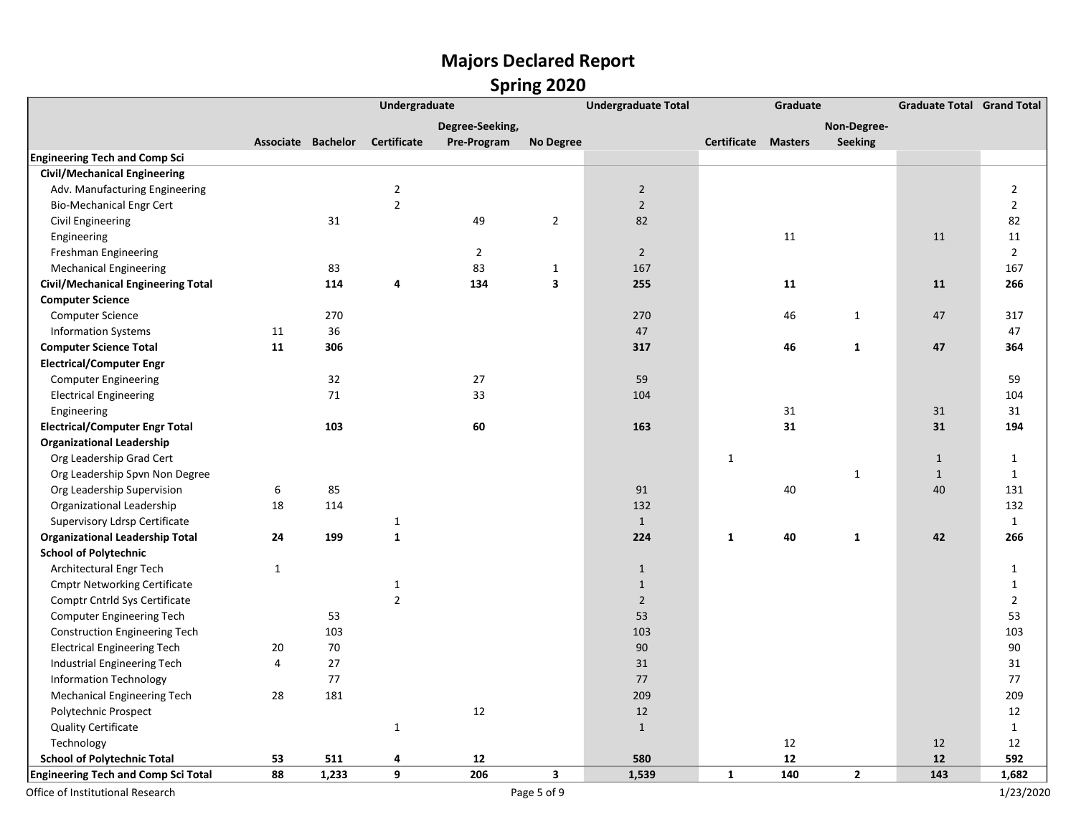|                                            |                  |                    | Undergraduate  |                 |                         | <b>Undergraduate Total</b> |              | Graduate       |                | <b>Graduate Total Grand Total</b> |                |
|--------------------------------------------|------------------|--------------------|----------------|-----------------|-------------------------|----------------------------|--------------|----------------|----------------|-----------------------------------|----------------|
|                                            |                  |                    |                | Degree-Seeking, |                         |                            |              |                | Non-Degree-    |                                   |                |
|                                            |                  | Associate Bachelor | Certificate    | Pre-Program     | <b>No Degree</b>        |                            | Certificate  | <b>Masters</b> | Seeking        |                                   |                |
| <b>Engineering Tech and Comp Sci</b>       |                  |                    |                |                 |                         |                            |              |                |                |                                   |                |
| <b>Civil/Mechanical Engineering</b>        |                  |                    |                |                 |                         |                            |              |                |                |                                   |                |
| Adv. Manufacturing Engineering             |                  |                    | $\overline{2}$ |                 |                         | $\overline{2}$             |              |                |                |                                   | $\overline{2}$ |
| <b>Bio-Mechanical Engr Cert</b>            |                  |                    | $\overline{2}$ |                 |                         | $\overline{2}$             |              |                |                |                                   | $\overline{2}$ |
| Civil Engineering                          |                  | 31                 |                | 49              | $\overline{2}$          | 82                         |              |                |                |                                   | 82             |
| Engineering                                |                  |                    |                |                 |                         |                            |              | 11             |                | 11                                | 11             |
| Freshman Engineering                       |                  |                    |                | $\overline{2}$  |                         | $\overline{2}$             |              |                |                |                                   | $\overline{2}$ |
| <b>Mechanical Engineering</b>              |                  | 83                 |                | 83              | $\mathbf{1}$            | 167                        |              |                |                |                                   | 167            |
| <b>Civil/Mechanical Engineering Total</b>  |                  | 114                | 4              | 134             | $\overline{\mathbf{3}}$ | 255                        |              | 11             |                | 11                                | 266            |
| <b>Computer Science</b>                    |                  |                    |                |                 |                         |                            |              |                |                |                                   |                |
| <b>Computer Science</b>                    |                  | 270                |                |                 |                         | 270                        |              | 46             | $\mathbf{1}$   | 47                                | 317            |
| <b>Information Systems</b>                 | 11               | 36                 |                |                 |                         | 47                         |              |                |                |                                   | 47             |
| <b>Computer Science Total</b>              | 11               | 306                |                |                 |                         | 317                        |              | 46             | $\mathbf{1}$   | 47                                | 364            |
| <b>Electrical/Computer Engr</b>            |                  |                    |                |                 |                         |                            |              |                |                |                                   |                |
| <b>Computer Engineering</b>                |                  | 32                 |                | 27              |                         | 59                         |              |                |                |                                   | 59             |
| <b>Electrical Engineering</b>              |                  | 71                 |                | 33              |                         | 104                        |              |                |                |                                   | 104            |
| Engineering                                |                  |                    |                |                 |                         |                            |              | 31             |                | 31                                | 31             |
| <b>Electrical/Computer Engr Total</b>      |                  | 103                |                | 60              |                         | 163                        |              | 31             |                | 31                                | 194            |
| <b>Organizational Leadership</b>           |                  |                    |                |                 |                         |                            |              |                |                |                                   |                |
| Org Leadership Grad Cert                   |                  |                    |                |                 |                         |                            | $\mathbf{1}$ |                |                | $\mathbf{1}$                      | $\mathbf{1}$   |
| Org Leadership Spvn Non Degree             |                  |                    |                |                 |                         |                            |              |                | $\mathbf{1}$   | $\mathbf{1}$                      | $\mathbf{1}$   |
| Org Leadership Supervision                 | $\boldsymbol{6}$ | 85                 |                |                 |                         | 91                         |              | 40             |                | 40                                | 131            |
| Organizational Leadership                  | 18               | 114                |                |                 |                         | 132                        |              |                |                |                                   | 132            |
| Supervisory Ldrsp Certificate              |                  |                    | $\mathbf{1}$   |                 |                         | $\mathbf{1}$               |              |                |                |                                   | $\mathbf{1}$   |
| <b>Organizational Leadership Total</b>     | 24               | 199                | $\mathbf{1}$   |                 |                         | 224                        | $\mathbf{1}$ | 40             | $\mathbf{1}$   | 42                                | 266            |
| <b>School of Polytechnic</b>               |                  |                    |                |                 |                         |                            |              |                |                |                                   |                |
| Architectural Engr Tech                    | $\mathbf{1}$     |                    |                |                 |                         | $\mathbf{1}$               |              |                |                |                                   | 1              |
| <b>Cmptr Networking Certificate</b>        |                  |                    | $\mathbf{1}$   |                 |                         | $\mathbf{1}$               |              |                |                |                                   | $\mathbf{1}$   |
| Comptr Cntrld Sys Certificate              |                  |                    | $\overline{2}$ |                 |                         | $\overline{2}$             |              |                |                |                                   | $\overline{2}$ |
| Computer Engineering Tech                  |                  | 53                 |                |                 |                         | 53                         |              |                |                |                                   | 53             |
| <b>Construction Engineering Tech</b>       |                  | 103                |                |                 |                         | 103                        |              |                |                |                                   | 103            |
| <b>Electrical Engineering Tech</b>         | 20               | 70                 |                |                 |                         | 90                         |              |                |                |                                   | 90             |
| Industrial Engineering Tech                | $\overline{4}$   | 27                 |                |                 |                         | 31                         |              |                |                |                                   | 31             |
| <b>Information Technology</b>              |                  | 77                 |                |                 |                         | 77                         |              |                |                |                                   | 77             |
| <b>Mechanical Engineering Tech</b>         | 28               | 181                |                |                 |                         | 209                        |              |                |                |                                   | 209            |
| Polytechnic Prospect                       |                  |                    |                | 12              |                         | 12                         |              |                |                |                                   | 12             |
| <b>Quality Certificate</b>                 |                  |                    | $\mathbf{1}$   |                 |                         | $\mathbf{1}$               |              |                |                |                                   | $\mathbf{1}$   |
| Technology                                 |                  |                    |                |                 |                         |                            |              | 12             |                | 12                                | 12             |
| <b>School of Polytechnic Total</b>         | 53               | 511                | 4              | 12              |                         | 580                        |              | 12             |                | 12                                | 592            |
| <b>Engineering Tech and Comp Sci Total</b> | 88               | 1,233              | 9              | 206             | $\mathbf{3}$            | 1,539                      | $\mathbf{1}$ | 140            | $\overline{2}$ | 143                               | 1,682          |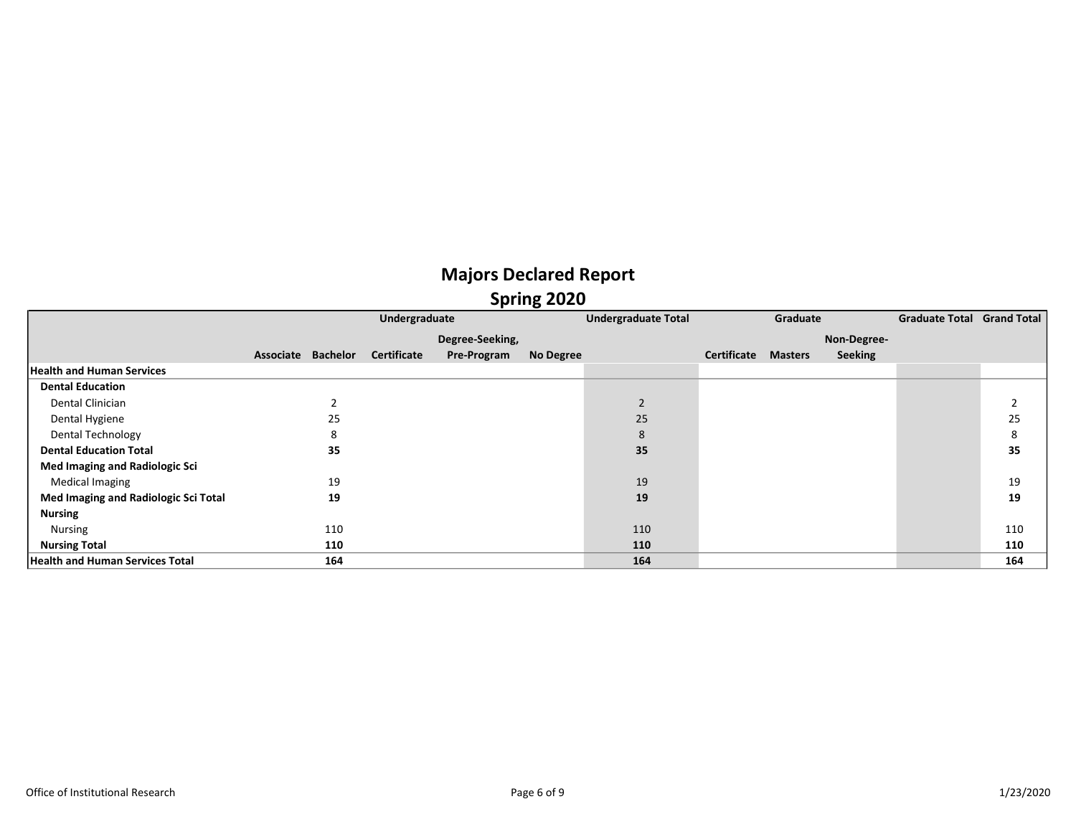|                                        |                    | Undergraduate      |                 |           | <b>Undergraduate Total</b> |             | Graduate       |                | <b>Graduate Total Grand Total</b> |     |
|----------------------------------------|--------------------|--------------------|-----------------|-----------|----------------------------|-------------|----------------|----------------|-----------------------------------|-----|
|                                        |                    |                    | Degree-Seeking, |           |                            |             |                | Non-Degree-    |                                   |     |
|                                        | Associate Bachelor | <b>Certificate</b> | Pre-Program     | No Degree |                            | Certificate | <b>Masters</b> | <b>Seeking</b> |                                   |     |
| <b>Health and Human Services</b>       |                    |                    |                 |           |                            |             |                |                |                                   |     |
| <b>Dental Education</b>                |                    |                    |                 |           |                            |             |                |                |                                   |     |
| Dental Clinician                       |                    |                    |                 |           | $\overline{2}$             |             |                |                |                                   |     |
| Dental Hygiene                         | 25                 |                    |                 |           | 25                         |             |                |                |                                   | 25  |
| Dental Technology                      | 8                  |                    |                 |           | 8                          |             |                |                |                                   |     |
| <b>Dental Education Total</b>          | 35                 |                    |                 |           | 35                         |             |                |                |                                   | 35  |
| Med Imaging and Radiologic Sci         |                    |                    |                 |           |                            |             |                |                |                                   |     |
| Medical Imaging                        | 19                 |                    |                 |           | 19                         |             |                |                |                                   | 19  |
| Med Imaging and Radiologic Sci Total   | 19                 |                    |                 |           | 19                         |             |                |                |                                   | 19  |
| <b>Nursing</b>                         |                    |                    |                 |           |                            |             |                |                |                                   |     |
| Nursing                                | 110                |                    |                 |           | 110                        |             |                |                |                                   | 110 |
| <b>Nursing Total</b>                   | 110                |                    |                 |           | 110                        |             |                |                |                                   | 110 |
| <b>Health and Human Services Total</b> | 164                |                    |                 |           | 164                        |             |                |                |                                   | 164 |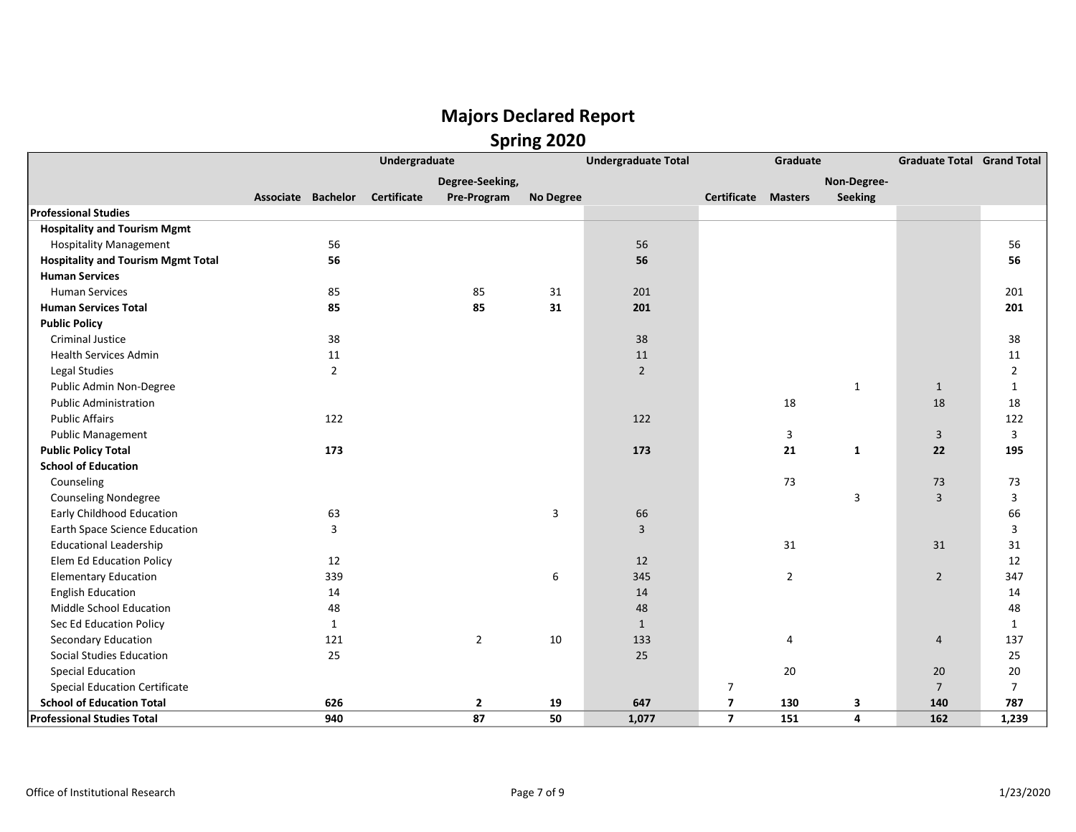|                                           | Undergraduate<br><b>Associate Bachelor</b><br><b>Certificate</b><br>56<br>56<br>85<br>85<br>85<br>85<br>38<br>$11\,$<br>$\overline{2}$<br>122<br>173<br>63<br>3<br>12<br>339<br>14<br>48<br>$\mathbf{1}$<br>$\overline{2}$<br>121<br>25 |  |                 |                  | <b>Undergraduate Total</b> |                         | Graduate       |                |                | <b>Graduate Total Grand Total</b> |
|-------------------------------------------|-----------------------------------------------------------------------------------------------------------------------------------------------------------------------------------------------------------------------------------------|--|-----------------|------------------|----------------------------|-------------------------|----------------|----------------|----------------|-----------------------------------|
|                                           |                                                                                                                                                                                                                                         |  | Degree-Seeking, |                  |                            |                         |                | Non-Degree-    |                |                                   |
|                                           |                                                                                                                                                                                                                                         |  | Pre-Program     | <b>No Degree</b> |                            | Certificate             | <b>Masters</b> | <b>Seeking</b> |                |                                   |
| <b>Professional Studies</b>               |                                                                                                                                                                                                                                         |  |                 |                  |                            |                         |                |                |                |                                   |
| <b>Hospitality and Tourism Mgmt</b>       |                                                                                                                                                                                                                                         |  |                 |                  |                            |                         |                |                |                |                                   |
| <b>Hospitality Management</b>             |                                                                                                                                                                                                                                         |  |                 |                  | 56                         |                         |                |                |                | 56                                |
| <b>Hospitality and Tourism Mgmt Total</b> |                                                                                                                                                                                                                                         |  |                 |                  | 56                         |                         |                |                |                | 56                                |
| <b>Human Services</b>                     |                                                                                                                                                                                                                                         |  |                 |                  |                            |                         |                |                |                |                                   |
| <b>Human Services</b>                     |                                                                                                                                                                                                                                         |  |                 | 31               | 201                        |                         |                |                |                | 201                               |
| <b>Human Services Total</b>               |                                                                                                                                                                                                                                         |  |                 | 31               | 201                        |                         |                |                |                | 201                               |
| <b>Public Policy</b>                      |                                                                                                                                                                                                                                         |  |                 |                  |                            |                         |                |                |                |                                   |
| <b>Criminal Justice</b>                   |                                                                                                                                                                                                                                         |  |                 |                  | 38                         |                         |                |                |                | 38                                |
| <b>Health Services Admin</b>              |                                                                                                                                                                                                                                         |  |                 |                  | 11                         |                         |                |                |                | 11                                |
| Legal Studies                             |                                                                                                                                                                                                                                         |  |                 |                  | $\overline{2}$             |                         |                |                |                | 2                                 |
| Public Admin Non-Degree                   |                                                                                                                                                                                                                                         |  |                 |                  |                            |                         |                | $\mathbf{1}$   | $\mathbf{1}$   | $\mathbf{1}$                      |
| <b>Public Administration</b>              |                                                                                                                                                                                                                                         |  |                 |                  |                            |                         | 18             |                | 18             | 18                                |
| <b>Public Affairs</b>                     |                                                                                                                                                                                                                                         |  |                 |                  | 122                        |                         |                |                |                | 122                               |
| <b>Public Management</b>                  |                                                                                                                                                                                                                                         |  |                 |                  |                            |                         | 3              |                | 3              | 3                                 |
| <b>Public Policy Total</b>                |                                                                                                                                                                                                                                         |  |                 |                  | 173                        |                         | 21             | $\mathbf{1}$   | 22             | 195                               |
| <b>School of Education</b>                |                                                                                                                                                                                                                                         |  |                 |                  |                            |                         |                |                |                |                                   |
| Counseling                                |                                                                                                                                                                                                                                         |  |                 |                  |                            |                         | 73             |                | 73             | 73                                |
| <b>Counseling Nondegree</b>               |                                                                                                                                                                                                                                         |  |                 |                  |                            |                         |                | 3              | $\overline{3}$ | 3                                 |
| <b>Early Childhood Education</b>          |                                                                                                                                                                                                                                         |  |                 | 3                | 66                         |                         |                |                |                | 66                                |
| <b>Earth Space Science Education</b>      |                                                                                                                                                                                                                                         |  |                 |                  | $\overline{3}$             |                         |                |                |                | 3                                 |
| <b>Educational Leadership</b>             |                                                                                                                                                                                                                                         |  |                 |                  |                            |                         | 31             |                | 31             | 31                                |
| Elem Ed Education Policy                  |                                                                                                                                                                                                                                         |  |                 |                  | 12                         |                         |                |                |                | 12                                |
| <b>Elementary Education</b>               |                                                                                                                                                                                                                                         |  |                 | 6                | 345                        |                         | $\overline{2}$ |                | $\overline{2}$ | 347                               |
| <b>English Education</b>                  |                                                                                                                                                                                                                                         |  |                 |                  | 14                         |                         |                |                |                | 14                                |
| Middle School Education                   |                                                                                                                                                                                                                                         |  |                 |                  | 48                         |                         |                |                |                | 48                                |
| Sec Ed Education Policy                   |                                                                                                                                                                                                                                         |  |                 |                  | $\mathbf{1}$               |                         |                |                |                | 1                                 |
| Secondary Education                       |                                                                                                                                                                                                                                         |  |                 | 10               | 133                        |                         | 4              |                | $\overline{4}$ | 137                               |
| Social Studies Education                  |                                                                                                                                                                                                                                         |  |                 |                  | 25                         |                         |                |                |                | 25                                |
| <b>Special Education</b>                  |                                                                                                                                                                                                                                         |  |                 |                  |                            |                         | 20             |                | 20             | 20                                |
| <b>Special Education Certificate</b>      |                                                                                                                                                                                                                                         |  |                 |                  |                            | $\overline{7}$          |                |                | $\overline{7}$ | $\overline{7}$                    |
| <b>School of Education Total</b>          | 626                                                                                                                                                                                                                                     |  | $\overline{2}$  | 19               | 647                        | $\overline{\mathbf{z}}$ | 130            | 3              | 140            | 787                               |
| <b>Professional Studies Total</b>         | 940                                                                                                                                                                                                                                     |  | 87              | 50               | 1,077                      | $\overline{7}$          | 151            | 4              | 162            | 1,239                             |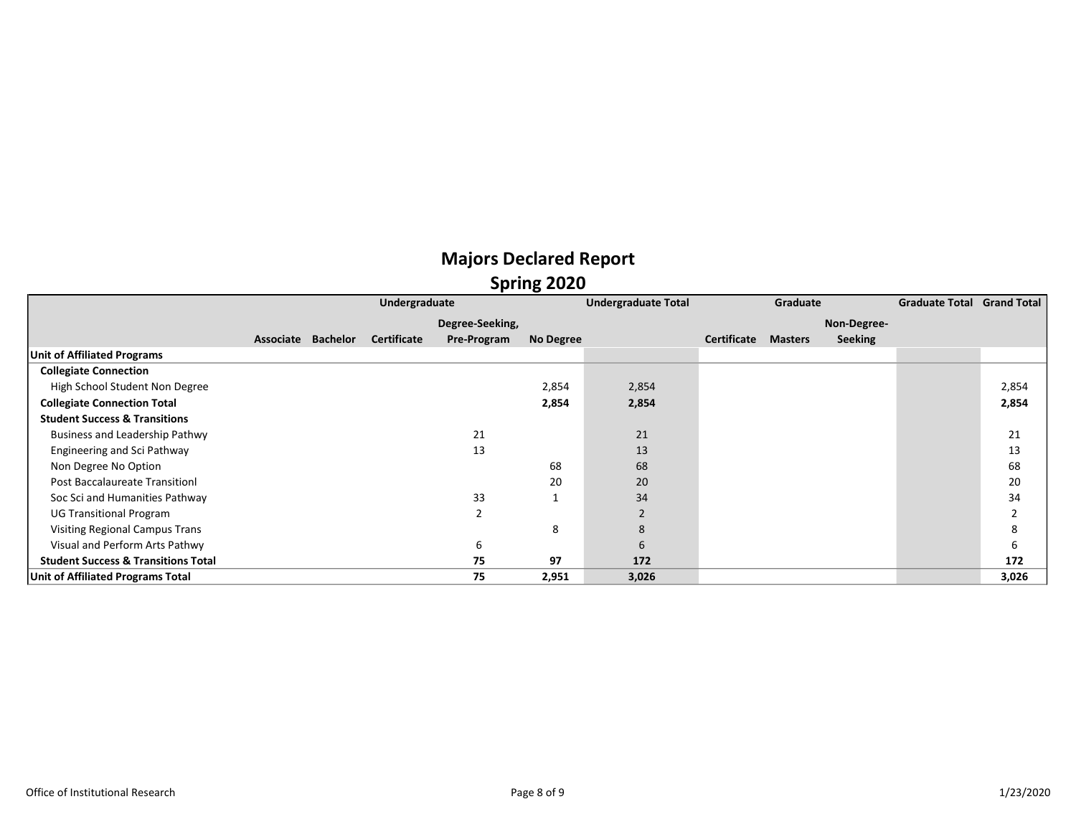## Majors Declared Report **Spring 2020**

|                                                |           |          | Undergraduate      |                 |           | <b>Undergraduate Total</b> |             | Graduate       |                | <b>Graduate Total Grand Total</b> |       |
|------------------------------------------------|-----------|----------|--------------------|-----------------|-----------|----------------------------|-------------|----------------|----------------|-----------------------------------|-------|
|                                                |           |          |                    | Degree-Seeking, |           |                            |             |                | Non-Degree-    |                                   |       |
|                                                | Associate | Bachelor | <b>Certificate</b> | Pre-Program     | No Degree |                            | Certificate | <b>Masters</b> | <b>Seeking</b> |                                   |       |
| <b>Unit of Affiliated Programs</b>             |           |          |                    |                 |           |                            |             |                |                |                                   |       |
| <b>Collegiate Connection</b>                   |           |          |                    |                 |           |                            |             |                |                |                                   |       |
| High School Student Non Degree                 |           |          |                    |                 | 2,854     | 2,854                      |             |                |                |                                   | 2,854 |
| <b>Collegiate Connection Total</b>             |           |          |                    |                 | 2,854     | 2,854                      |             |                |                |                                   | 2,854 |
| <b>Student Success &amp; Transitions</b>       |           |          |                    |                 |           |                            |             |                |                |                                   |       |
| Business and Leadership Pathwy                 |           |          |                    | 21              |           | 21                         |             |                |                |                                   | 21    |
| Engineering and Sci Pathway                    |           |          |                    | 13              |           | 13                         |             |                |                |                                   | 13    |
| Non Degree No Option                           |           |          |                    |                 | 68        | 68                         |             |                |                |                                   | 68    |
| Post Baccalaureate Transition                  |           |          |                    |                 | 20        | 20                         |             |                |                |                                   | 20    |
| Soc Sci and Humanities Pathway                 |           |          |                    | 33              |           | 34                         |             |                |                |                                   | 34    |
| <b>UG Transitional Program</b>                 |           |          |                    | $\mathcal{P}$   |           | $\overline{2}$             |             |                |                |                                   | າ     |
| <b>Visiting Regional Campus Trans</b>          |           |          |                    |                 | 8         | 8                          |             |                |                |                                   | 8     |
| Visual and Perform Arts Pathwy                 |           |          |                    | 6               |           | 6                          |             |                |                |                                   | 6     |
| <b>Student Success &amp; Transitions Total</b> |           |          |                    | 75              | 97        | 172                        |             |                |                |                                   | 172   |
| Unit of Affiliated Programs Total              |           |          |                    | 75              | 2,951     | 3,026                      |             |                |                |                                   | 3,026 |